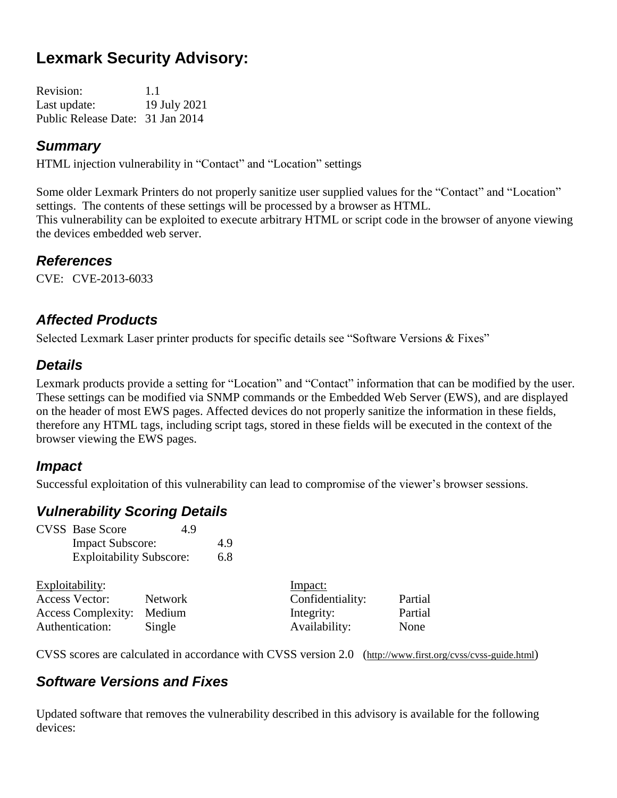# **Lexmark Security Advisory:**

Revision: 1.1 Last update: 19 July 2021 Public Release Date: 31 Jan 2014

### *Summary*

HTML injection vulnerability in "Contact" and "Location" settings

Some older Lexmark Printers do not properly sanitize user supplied values for the "Contact" and "Location" settings. The contents of these settings will be processed by a browser as HTML. This vulnerability can be exploited to execute arbitrary HTML or script code in the browser of anyone viewing the devices embedded web server.

#### *References*

CVE: CVE-2013-6033

# *Affected Products*

Selected Lexmark Laser printer products for specific details see "Software Versions & Fixes"

#### *Details*

Lexmark products provide a setting for "Location" and "Contact" information that can be modified by the user. These settings can be modified via SNMP commands or the Embedded Web Server (EWS), and are displayed on the header of most EWS pages. Affected devices do not properly sanitize the information in these fields, therefore any HTML tags, including script tags, stored in these fields will be executed in the context of the browser viewing the EWS pages.

#### *Impact*

Successful exploitation of this vulnerability can lead to compromise of the viewer's browser sessions.

# *Vulnerability Scoring Details*

| <b>Impact Subscore:</b> | 4.9                                                              |
|-------------------------|------------------------------------------------------------------|
|                         | 6.8                                                              |
|                         | <b>CVSS</b> Base Score<br>4.9<br><b>Exploitability Subscore:</b> |

| Exploitability:           |                | Impact:          |         |
|---------------------------|----------------|------------------|---------|
| Access Vector:            | <b>Network</b> | Confidentiality: | Partial |
| Access Complexity: Medium |                | Integrity:       | Partial |
| Authentication:           | Single         | Availability:    | None    |

CVSS scores are calculated in accordance with CVSS version 2.0 (http://www.first.org/cvss/cvss-guide.html)

# *Software Versions and Fixes*

Updated software that removes the vulnerability described in this advisory is available for the following devices: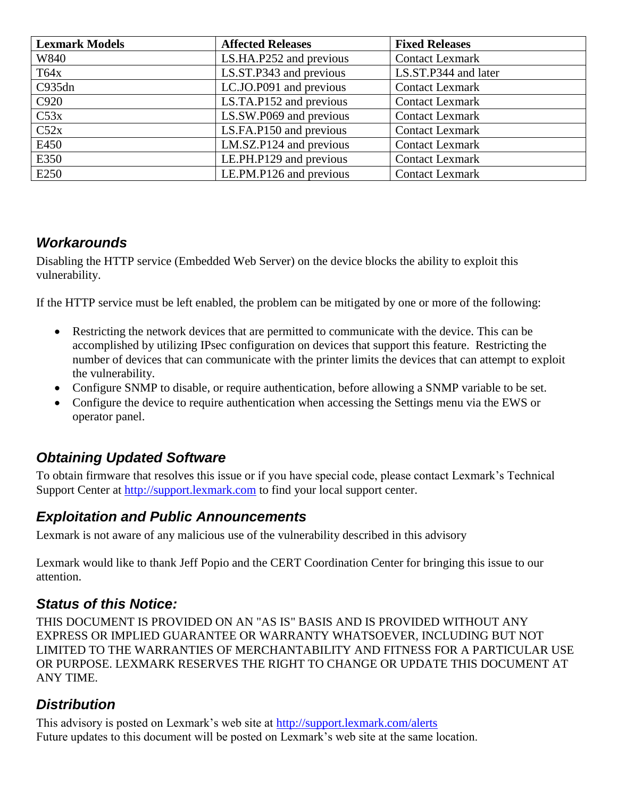| <b>Lexmark Models</b> | <b>Affected Releases</b> | <b>Fixed Releases</b>  |
|-----------------------|--------------------------|------------------------|
| W840                  | LS.HA.P252 and previous  | <b>Contact Lexmark</b> |
| T64x                  | LS.ST.P343 and previous  | LS.ST.P344 and later   |
| C935dn                | LC.JO.P091 and previous  | <b>Contact Lexmark</b> |
| C920                  | LS.TA.P152 and previous  | <b>Contact Lexmark</b> |
| C53x                  | LS.SW.P069 and previous  | <b>Contact Lexmark</b> |
| C52x                  | LS.FA.P150 and previous  | <b>Contact Lexmark</b> |
| E450                  | LM.SZ.P124 and previous  | <b>Contact Lexmark</b> |
| E350                  | LE.PH.P129 and previous  | <b>Contact Lexmark</b> |
| E250                  | LE.PM.P126 and previous  | <b>Contact Lexmark</b> |

# *Workarounds*

Disabling the HTTP service (Embedded Web Server) on the device blocks the ability to exploit this vulnerability.

If the HTTP service must be left enabled, the problem can be mitigated by one or more of the following:

- Restricting the network devices that are permitted to communicate with the device. This can be accomplished by utilizing IPsec configuration on devices that support this feature. Restricting the number of devices that can communicate with the printer limits the devices that can attempt to exploit the vulnerability.
- Configure SNMP to disable, or require authentication, before allowing a SNMP variable to be set.
- Configure the device to require authentication when accessing the Settings menu via the EWS or operator panel.

# *Obtaining Updated Software*

To obtain firmware that resolves this issue or if you have special code, please contact Lexmark's Technical Support Center at [http://support.lexmark.com](http://support.lexmark.com/) to find your local support center.

#### *Exploitation and Public Announcements*

Lexmark is not aware of any malicious use of the vulnerability described in this advisory

Lexmark would like to thank Jeff Popio and the CERT Coordination Center for bringing this issue to our attention.

#### *Status of this Notice:*

THIS DOCUMENT IS PROVIDED ON AN "AS IS" BASIS AND IS PROVIDED WITHOUT ANY EXPRESS OR IMPLIED GUARANTEE OR WARRANTY WHATSOEVER, INCLUDING BUT NOT LIMITED TO THE WARRANTIES OF MERCHANTABILITY AND FITNESS FOR A PARTICULAR USE OR PURPOSE. LEXMARK RESERVES THE RIGHT TO CHANGE OR UPDATE THIS DOCUMENT AT ANY TIME.

#### *Distribution*

This advisory is posted on Lexmark's web site at<http://support.lexmark.com/alerts> Future updates to this document will be posted on Lexmark's web site at the same location.